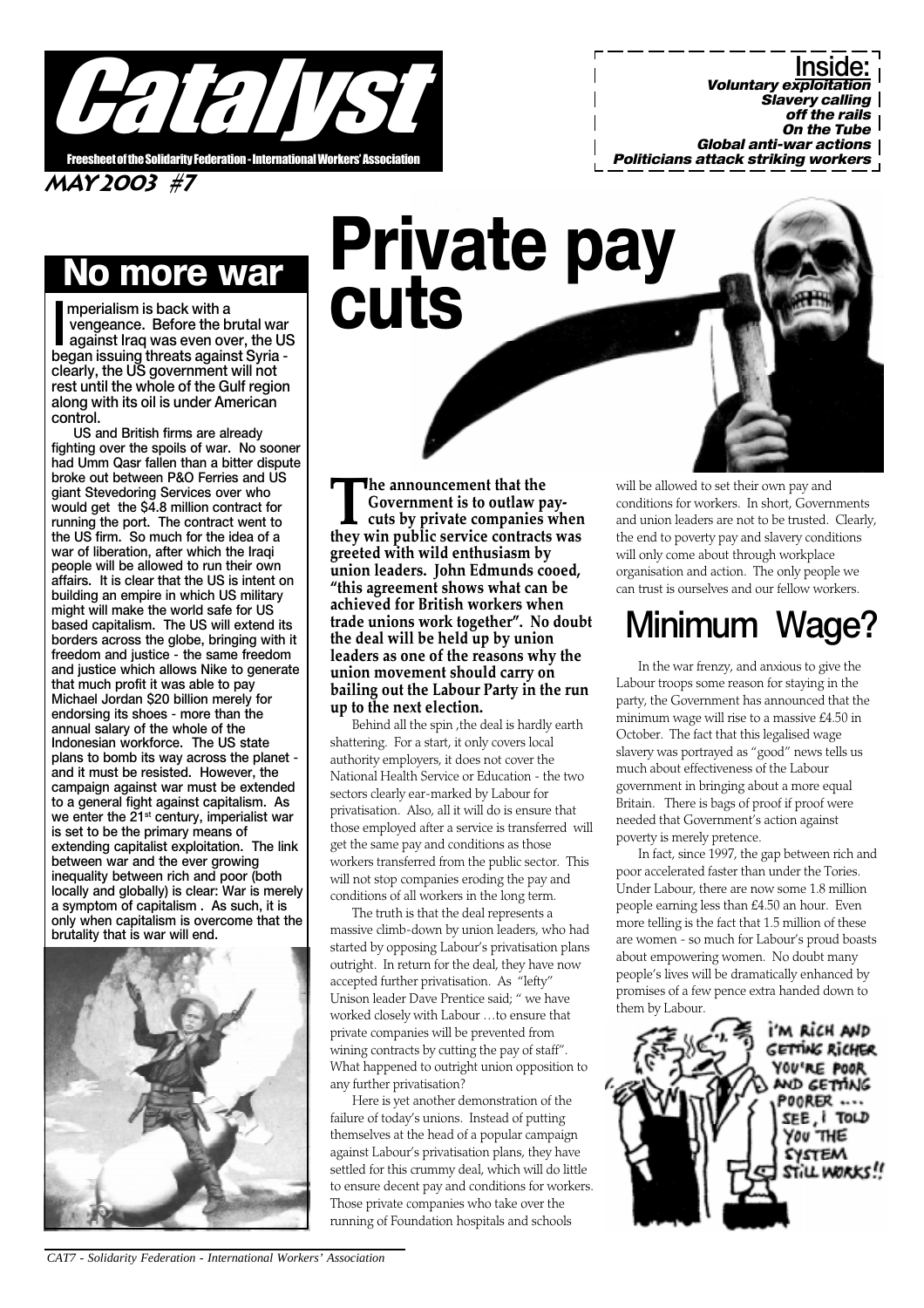

MAY 2003 #7

### more war

mperialism is back with a<br>vengeance. Before the brutal war<br>against Iraq was even over, the US<br>began issuing threats against Syria mperialism is back with a vengeance. Before the brutal war against Iraq was even over, the US clearly, the US government will not rest until the whole of the Gulf region along with its oil is under American control.

US and British firms are already fighting over the spoils of war. No sooner had Umm Qasr fallen than a bitter dispute broke out between P&O Ferries and US giant Stevedoring Services over who would get the \$4.8 million contract for running the port. The contract went to the US firm. So much for the idea of a war of liberation, after which the Iraqi people will be allowed to run their own affairs. It is clear that the US is intent on building an empire in which US military might will make the world safe for US based capitalism. The US will extend its borders across the globe, bringing with it freedom and justice - the same freedom and justice which allows Nike to generate that much profit it was able to pay Michael Jordan \$20 billion merely for endorsing its shoes - more than the annual salary of the whole of the Indonesian workforce. The US state plans to bomb its way across the planet and it must be resisted. However, the campaign against war must be extended to a general fight against capitalism. As we enter the  $21<sup>st</sup>$  century, imperialist war is set to be the primary means of extending capitalist exploitation. The link between war and the ever growing inequality between rich and poor (both locally and globally) is clear: War is merely a symptom of capitalism . As such, it is only when capitalism is overcome that the brutality that is war will end.



# Private pay cuts

The announcement that the<br>Government is to outlaw p<br>cuts by private companies<br>they win nublic service contract Government is to outlaw paycuts by private companies when they win public service contracts was greeted with wild enthusiasm by union leaders. John Edmunds cooed, "this agreement shows what can be achieved for British workers when trade unions work together". No doubt the deal will be held up by union leaders as one of the reasons why the union movement should carry on bailing out the Labour Party in the run up to the next election.

Behind all the spin ,the deal is hardly earth shattering. For a start, it only covers local authority employers, it does not cover the National Health Service or Education - the two sectors clearly ear-marked by Labour for privatisation. Also, all it will do is ensure that those employed after a service is transferred will get the same pay and conditions as those workers transferred from the public sector. This will not stop companies eroding the pay and conditions of all workers in the long term.

The truth is that the deal represents a massive climb-down by union leaders, who had started by opposing Labour's privatisation plans outright. In return for the deal, they have now accepted further privatisation. As "lefty" Unison leader Dave Prentice said; " we have worked closely with Labour ...to ensure that private companies will be prevented from wining contracts by cutting the pay of staff". What happened to outright union opposition to any further privatisation?

Here is yet another demonstration of the failure of today's unions. Instead of putting themselves at the head of a popular campaign against Labour's privatisation plans, they have settled for this crummy deal, which will do little to ensure decent pay and conditions for workers. Those private companies who take over the running of Foundation hospitals and schools

will be allowed to set their own pay and conditions for workers. In short, Governments and union leaders are not to be trusted. Clearly, the end to poverty pay and slavery conditions will only come about through workplace organisation and action. The only people we can trust is ourselves and our fellow workers.

### Minimum Wage?

In the war frenzy, and anxious to give the Labour troops some reason for staying in the party, the Government has announced that the minimum wage will rise to a massive £4.50 in October. The fact that this legalised wage slavery was portrayed as "good" news tells us much about effectiveness of the Labour government in bringing about a more equal Britain. There is bags of proof if proof were needed that Government's action against poverty is merely pretence.

In fact, since 1997, the gap between rich and poor accelerated faster than under the Tories. Under Labour, there are now some 1.8 million people earning less than £4.50 an hour. Even more telling is the fact that 1.5 million of these are women - so much for Labour's proud boasts about empowering women. No doubt many people's lives will be dramatically enhanced by promises of a few pence extra handed down to them by Labour.

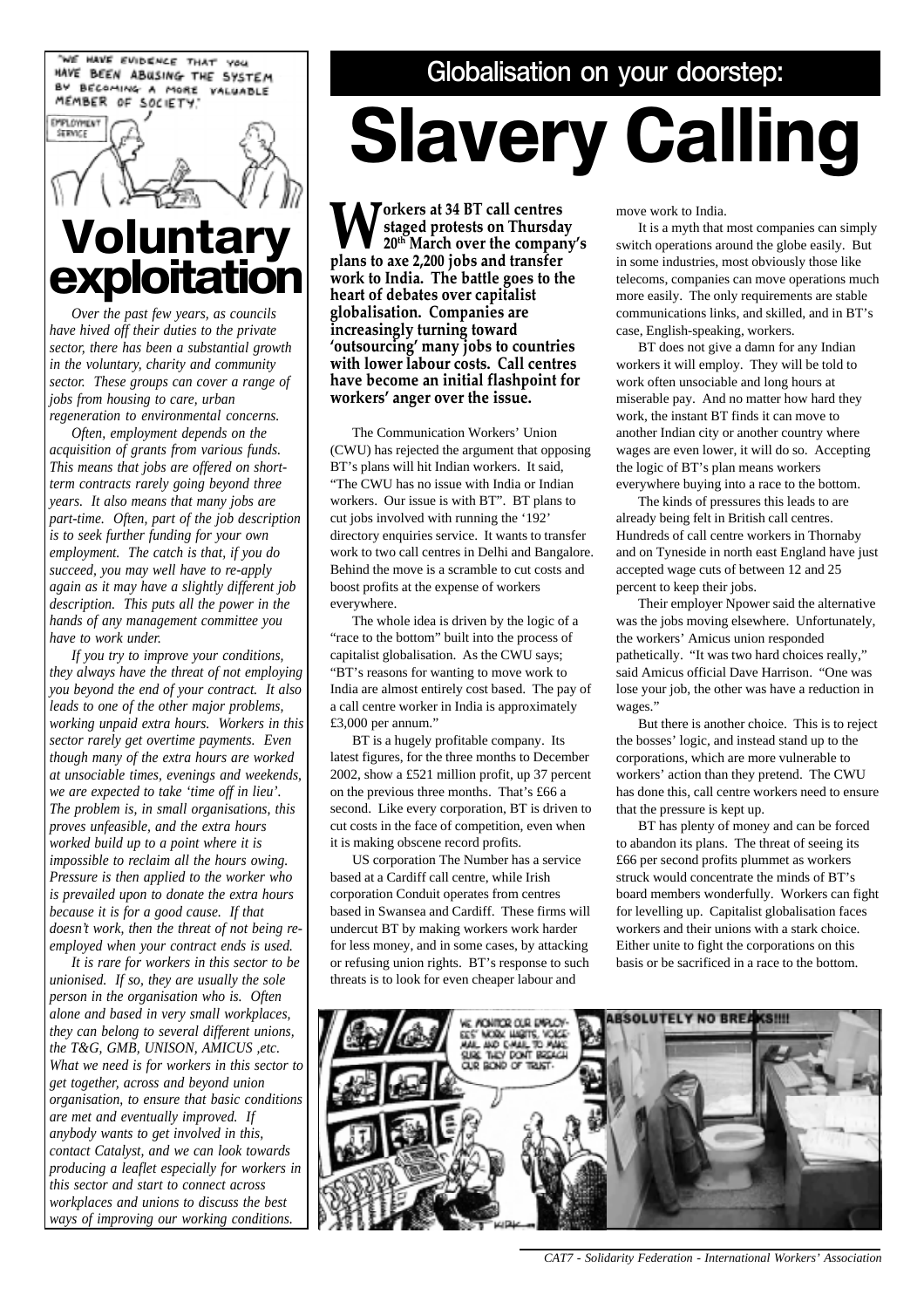WE HAVE EVIDENCE THAT YOU HAVE BEEN ABUSING THE SYSTEM BY BECOMING A MORE VALUABLE MEMBER OF SOCIETY.

**EMPLOYMENT** 

## **SERVICE** Voluntary **exploitation**

*Over the past few years, as councils have hived off their duties to the private sector, there has been a substantial growth in the voluntary, charity and community sector. These groups can cover a range of jobs from housing to care, urban regeneration to environmental concerns.*

*Often, employment depends on the acquisition of grants from various funds. This means that jobs are offered on shortterm contracts rarely going beyond three years. It also means that many jobs are part-time. Often, part of the job description is to seek further funding for your own employment. The catch is that, if you do succeed, you may well have to re-apply again as it may have a slightly different job description. This puts all the power in the hands of any management committee you have to work under.*

*If you try to improve your conditions, they always have the threat of not employing you beyond the end of your contract. It also leads to one of the other major problems, working unpaid extra hours. Workers in this sector rarely get overtime payments. Even though many of the extra hours are worked at unsociable times, evenings and weekends, we are expected to take 'time off in lieu'. The problem is, in small organisations, this proves unfeasible, and the extra hours worked build up to a point where it is impossible to reclaim all the hours owing. Pressure is then applied to the worker who is prevailed upon to donate the extra hours because it is for a good cause. If that doesn't work, then the threat of not being reemployed when your contract ends is used.*

*It is rare for workers in this sector to be unionised. If so, they are usually the sole person in the organisation who is. Often alone and based in very small workplaces, they can belong to several different unions, the T&G, GMB, UNISON, AMICUS ,etc. What we need is for workers in this sector to get together, across and beyond union organisation, to ensure that basic conditions are met and eventually improved. If anybody wants to get involved in this, contact Catalyst, and we can look towards producing a leaflet especially for workers in this sector and start to connect across workplaces and unions to discuss the best ways of improving our working conditions.*

#### Globalisation on your doorstep:

# Slavery Calling

**W** orkers at 34 BT call centres<br>
20<sup>th</sup> March over the company's<br>
plans to ave 2 200 jobs and transfer staged protests on Thursday plans to axe 2,200 jobs and transfer work to India. The battle goes to the heart of debates over capitalist globalisation. Companies are increasingly turning toward 'outsourcing' many jobs to countries with lower labour costs. Call centres have become an initial flashpoint for workers' anger over the issue.

The Communication Workers' Union (CWU) has rejected the argument that opposing BT's plans will hit Indian workers. It said, "The CWU has no issue with India or Indian workers. Our issue is with BT". BT plans to cut jobs involved with running the '192' directory enquiries service. It wants to transfer work to two call centres in Delhi and Bangalore. Behind the move is a scramble to cut costs and boost profits at the expense of workers everywhere.

The whole idea is driven by the logic of a "race to the bottom" built into the process of capitalist globalisation. As the CWU says; "BT's reasons for wanting to move work to India are almost entirely cost based. The pay of a call centre worker in India is approximately £3,000 per annum."

BT is a hugely profitable company. Its latest figures, for the three months to December 2002, show a £521 million profit, up 37 percent on the previous three months. That's £66 a second. Like every corporation, BT is driven to cut costs in the face of competition, even when it is making obscene record profits.

US corporation The Number has a service based at a Cardiff call centre, while Irish corporation Conduit operates from centres based in Swansea and Cardiff. These firms will undercut BT by making workers work harder for less money, and in some cases, by attacking or refusing union rights. BT's response to such threats is to look for even cheaper labour and

move work to India.

It is a myth that most companies can simply switch operations around the globe easily. But in some industries, most obviously those like telecoms, companies can move operations much more easily. The only requirements are stable communications links, and skilled, and in BT's case, English-speaking, workers.

BT does not give a damn for any Indian workers it will employ. They will be told to work often unsociable and long hours at miserable pay. And no matter how hard they work, the instant BT finds it can move to another Indian city or another country where wages are even lower, it will do so. Accepting the logic of BT's plan means workers everywhere buying into a race to the bottom.

The kinds of pressures this leads to are already being felt in British call centres. Hundreds of call centre workers in Thornaby and on Tyneside in north east England have just accepted wage cuts of between 12 and 25 percent to keep their jobs.

Their employer Npower said the alternative was the jobs moving elsewhere. Unfortunately, the workers' Amicus union responded pathetically. "It was two hard choices really," said Amicus official Dave Harrison. "One was lose your job, the other was have a reduction in wages."

But there is another choice. This is to reject the bosses' logic, and instead stand up to the corporations, which are more vulnerable to workers' action than they pretend. The CWU has done this, call centre workers need to ensure that the pressure is kept up.

BT has plenty of money and can be forced to abandon its plans. The threat of seeing its £66 per second profits plummet as workers struck would concentrate the minds of BT's board members wonderfully. Workers can fight for levelling up. Capitalist globalisation faces workers and their unions with a stark choice. Either unite to fight the corporations on this basis or be sacrificed in a race to the bottom.



 *CAT7 - Solidarity Federation - International Workers' Association*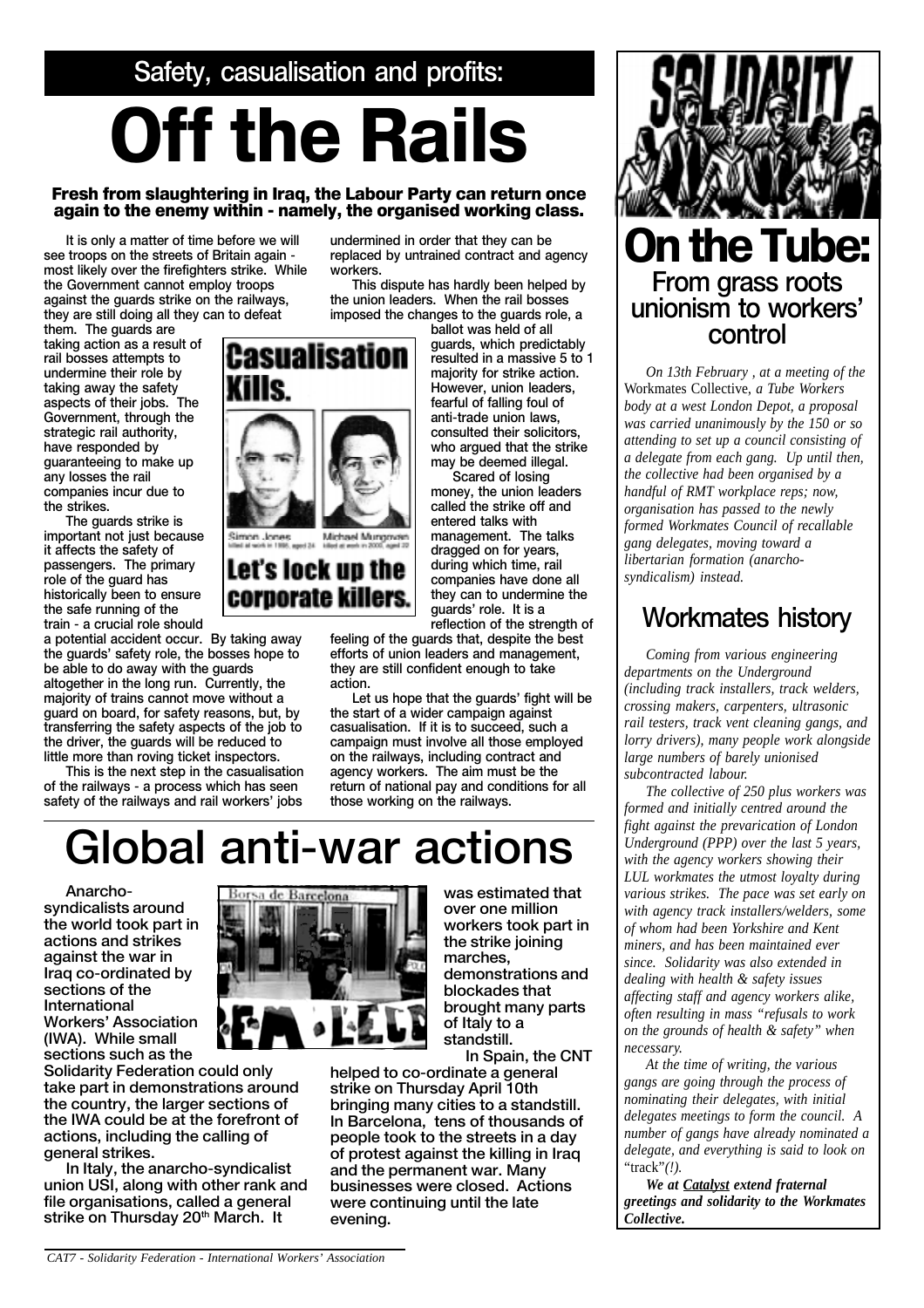Safety, casualisation and profits:

# Off the Rails

#### Fresh from slaughtering in Iraq, the Labour Party can return once again to the enemy within - namely, the organised working class.

workers.

It is only a matter of time before we will see troops on the streets of Britain again most likely over the firefighters strike. While the Government cannot employ troops against the guards strike on the railways, they are still doing all they can to defeat

them. The guards are taking action as a result of rail bosses attempts to undermine their role by taking away the safety aspects of their jobs. The Government, through the strategic rail authority, have responded by guaranteeing to make up any losses the rail companies incur due to the strikes.

The guards strike is important not just because it affects the safety of passengers. The primary role of the guard has historically been to ensure the safe running of the train - a crucial role should

a potential accident occur. By taking away the guards' safety role, the bosses hope to be able to do away with the guards altogether in the long run. Currently, the majority of trains cannot move without a guard on board, for safety reasons, but, by transferring the safety aspects of the job to the driver, the guards will be reduced to little more than roving ticket inspectors.

This is the next step in the casualisation of the railways - a process which has seen safety of the railways and rail workers' jobs



Michael Mungover

Let's lock up the corporate killers.

> feeling of the guards that, despite the best efforts of union leaders and management, they are still confident enough to take action.

undermined in order that they can be replaced by untrained contract and agency

This dispute has hardly been helped by the union leaders. When the rail bosses imposed the changes to the guards role, a

Scared of losing

dragged on for years, during which time, rail companies have done all they can to undermine the guards' role. It is a reflection of the strength of

Let us hope that the guards' fight will be the start of a wider campaign against casualisation. If it is to succeed, such a campaign must involve all those employed on the railways, including contract and agency workers. The aim must be the return of national pay and conditions for all those working on the railways.

## Global anti-war actions

Anarchosyndicalists around the world took part in actions and strikes against the war in Iraq co-ordinated by sections of the International **Workers' Association** (IWA). While small sections such as the

Solidarity Federation could only take part in demonstrations around the country, the larger sections of the IWA could be at the forefront of actions, including the calling of general strikes.

In Italy, the anarcho-syndicalist union USI, along with other rank and file organisations, called a general strike on Thursday 20<sup>th</sup> March. It



was estimated that over one million workers took part in the strike joining marches, demonstrations and blockades that brought many parts of Italy to a standstill. In Spain, the CNT

helped to co-ordinate a general strike on Thursday April 10th bringing many cities to a standstill. In Barcelona, tens of thousands of people took to the streets in a day of protest against the killing in Iraq and the permanent war. Many businesses were closed. Actions

were continuing until the late

evening.



*On 13th February , at a meeting of the* Workmates Collective, *a Tube Workers body at a west London Depot, a proposal was carried unanimously by the 150 or so attending to set up a council consisting of a delegate from each gang. Up until then, the collective had been organised by a handful of RMT workplace reps; now, organisation has passed to the newly formed Workmates Council of recallable gang delegates, moving toward a libertarian formation (anarchosyndicalism) instead.*

#### Workmates history

*Coming from various engineering departments on the Underground (including track installers, track welders, crossing makers, carpenters, ultrasonic rail testers, track vent cleaning gangs, and lorry drivers), many people work alongside large numbers of barely unionised subcontracted labour.*

*The collective of 250 plus workers was formed and initially centred around the fight against the prevarication of London Underground (PPP) over the last 5 years, with the agency workers showing their LUL workmates the utmost loyalty during various strikes. The pace was set early on with agency track installers/welders, some of whom had been Yorkshire and Kent miners, and has been maintained ever since. Solidarity was also extended in dealing with health & safety issues affecting staff and agency workers alike, often resulting in mass "refusals to work on the grounds of health & safety" when necessary.*

*At the time of writing, the various gangs are going through the process of nominating their delegates, with initial delegates meetings to form the council. A number of gangs have already nominated a delegate, and everything is said to look on* "track"*(!).*

*We at Catalyst extend fraternal greetings and solidarity to the Workmates Collective.*